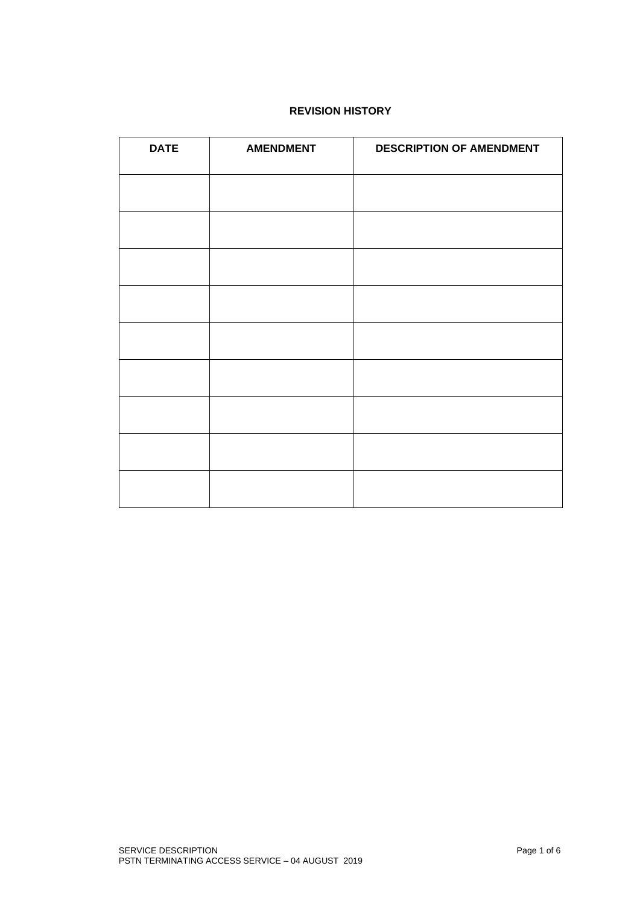# **REVISION HISTORY**

| <b>DATE</b> | <b>AMENDMENT</b> | <b>DESCRIPTION OF AMENDMENT</b> |
|-------------|------------------|---------------------------------|
|             |                  |                                 |
|             |                  |                                 |
|             |                  |                                 |
|             |                  |                                 |
|             |                  |                                 |
|             |                  |                                 |
|             |                  |                                 |
|             |                  |                                 |
|             |                  |                                 |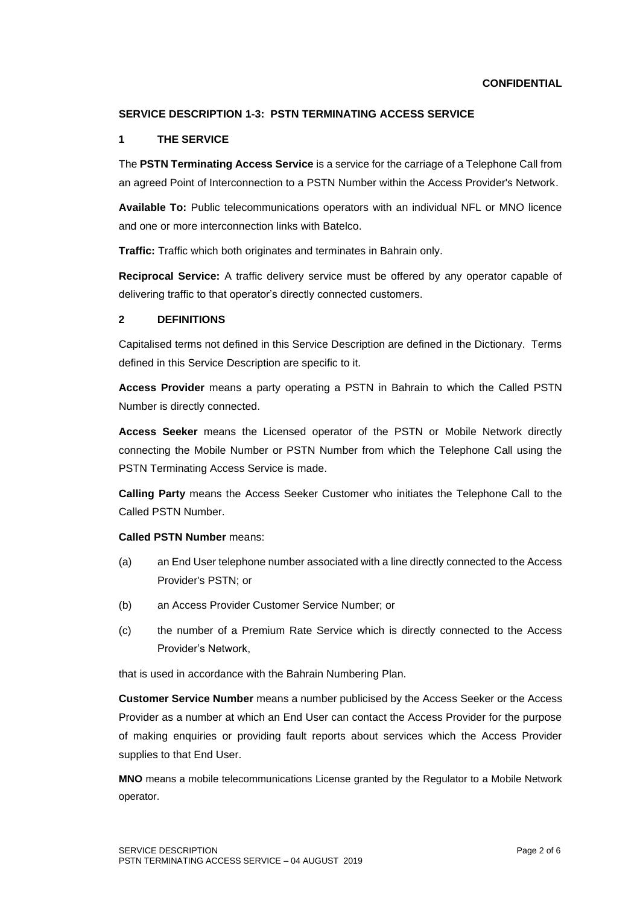#### **CONFIDENTIAL**

## **SERVICE DESCRIPTION 1-3: PSTN TERMINATING ACCESS SERVICE**

### **1 THE SERVICE**

The **PSTN Terminating Access Service** is a service for the carriage of a Telephone Call from an agreed Point of Interconnection to a PSTN Number within the Access Provider's Network.

**Available To:** Public telecommunications operators with an individual NFL or MNO licence and one or more interconnection links with Batelco.

**Traffic:** Traffic which both originates and terminates in Bahrain only.

**Reciprocal Service:** A traffic delivery service must be offered by any operator capable of delivering traffic to that operator's directly connected customers.

#### **2 DEFINITIONS**

Capitalised terms not defined in this Service Description are defined in the Dictionary. Terms defined in this Service Description are specific to it.

**Access Provider** means a party operating a PSTN in Bahrain to which the Called PSTN Number is directly connected.

**Access Seeker** means the Licensed operator of the PSTN or Mobile Network directly connecting the Mobile Number or PSTN Number from which the Telephone Call using the PSTN Terminating Access Service is made.

**Calling Party** means the Access Seeker Customer who initiates the Telephone Call to the Called PSTN Number.

### **Called PSTN Number** means:

- (a) an End User telephone number associated with a line directly connected to the Access Provider's PSTN; or
- (b) an Access Provider Customer Service Number; or
- (c) the number of a Premium Rate Service which is directly connected to the Access Provider's Network,

that is used in accordance with the Bahrain Numbering Plan.

**Customer Service Number** means a number publicised by the Access Seeker or the Access Provider as a number at which an End User can contact the Access Provider for the purpose of making enquiries or providing fault reports about services which the Access Provider supplies to that End User.

**MNO** means a mobile telecommunications License granted by the Regulator to a Mobile Network operator.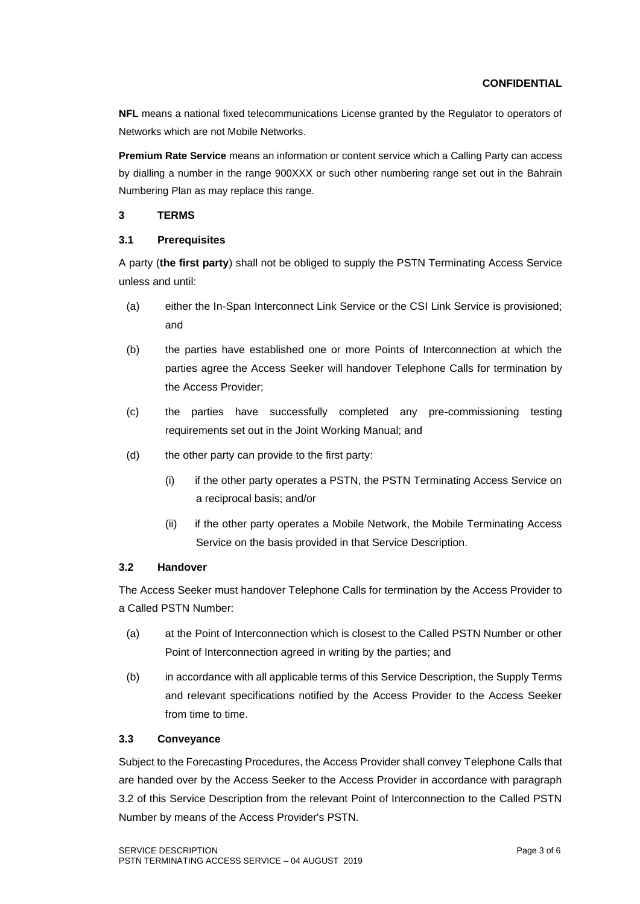**NFL** means a national fixed telecommunications License granted by the Regulator to operators of Networks which are not Mobile Networks.

**Premium Rate Service** means an information or content service which a Calling Party can access by dialling a number in the range 900XXX or such other numbering range set out in the Bahrain Numbering Plan as may replace this range.

## **3 TERMS**

## **3.1 Prerequisites**

A party (**the first party**) shall not be obliged to supply the PSTN Terminating Access Service unless and until:

- (a) either the In-Span Interconnect Link Service or the CSI Link Service is provisioned; and
- (b) the parties have established one or more Points of Interconnection at which the parties agree the Access Seeker will handover Telephone Calls for termination by the Access Provider;
- (c) the parties have successfully completed any pre-commissioning testing requirements set out in the Joint Working Manual; and
- (d) the other party can provide to the first party:
	- (i) if the other party operates a PSTN, the PSTN Terminating Access Service on a reciprocal basis; and/or
	- (ii) if the other party operates a Mobile Network, the Mobile Terminating Access Service on the basis provided in that Service Description.

## **3.2 Handover**

The Access Seeker must handover Telephone Calls for termination by the Access Provider to a Called PSTN Number:

- (a) at the Point of Interconnection which is closest to the Called PSTN Number or other Point of Interconnection agreed in writing by the parties; and
- (b) in accordance with all applicable terms of this Service Description, the Supply Terms and relevant specifications notified by the Access Provider to the Access Seeker from time to time.

## **3.3 Conveyance**

Subject to the Forecasting Procedures, the Access Provider shall convey Telephone Calls that are handed over by the Access Seeker to the Access Provider in accordance with paragraph 3.2 of this Service Description from the relevant Point of Interconnection to the Called PSTN Number by means of the Access Provider's PSTN.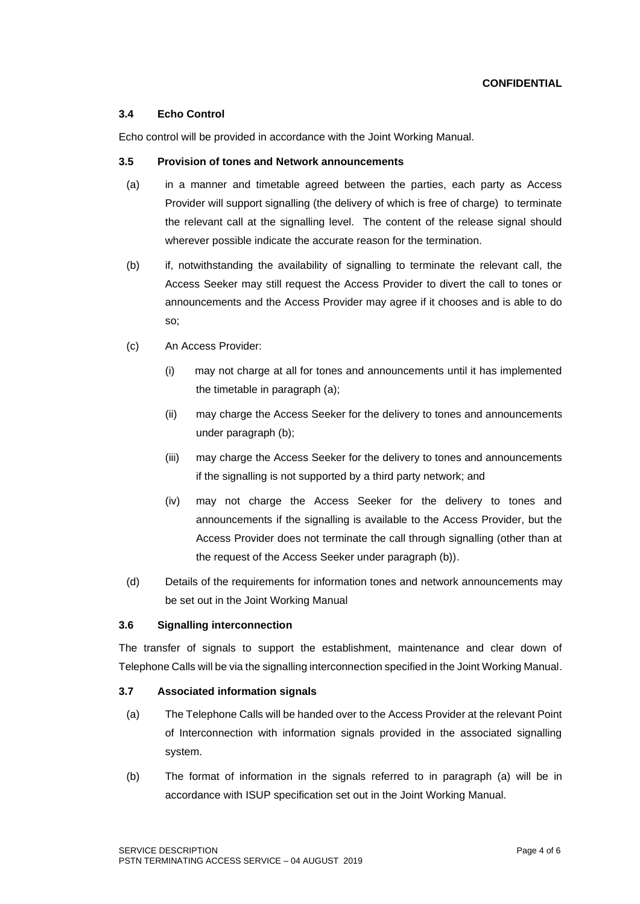### **3.4 Echo Control**

Echo control will be provided in accordance with the Joint Working Manual.

### **3.5 Provision of tones and Network announcements**

- (a) in a manner and timetable agreed between the parties, each party as Access Provider will support signalling (the delivery of which is free of charge) to terminate the relevant call at the signalling level. The content of the release signal should wherever possible indicate the accurate reason for the termination.
- (b) if, notwithstanding the availability of signalling to terminate the relevant call, the Access Seeker may still request the Access Provider to divert the call to tones or announcements and the Access Provider may agree if it chooses and is able to do so;
- (c) An Access Provider:
	- (i) may not charge at all for tones and announcements until it has implemented the timetable in paragraph (a);
	- (ii) may charge the Access Seeker for the delivery to tones and announcements under paragraph (b);
	- (iii) may charge the Access Seeker for the delivery to tones and announcements if the signalling is not supported by a third party network; and
	- (iv) may not charge the Access Seeker for the delivery to tones and announcements if the signalling is available to the Access Provider, but the Access Provider does not terminate the call through signalling (other than at the request of the Access Seeker under paragraph (b)).
- (d) Details of the requirements for information tones and network announcements may be set out in the Joint Working Manual

## **3.6 Signalling interconnection**

The transfer of signals to support the establishment, maintenance and clear down of Telephone Calls will be via the signalling interconnection specified in the Joint Working Manual.

## **3.7 Associated information signals**

- (a) The Telephone Calls will be handed over to the Access Provider at the relevant Point of Interconnection with information signals provided in the associated signalling system.
- (b) The format of information in the signals referred to in paragraph (a) will be in accordance with ISUP specification set out in the Joint Working Manual.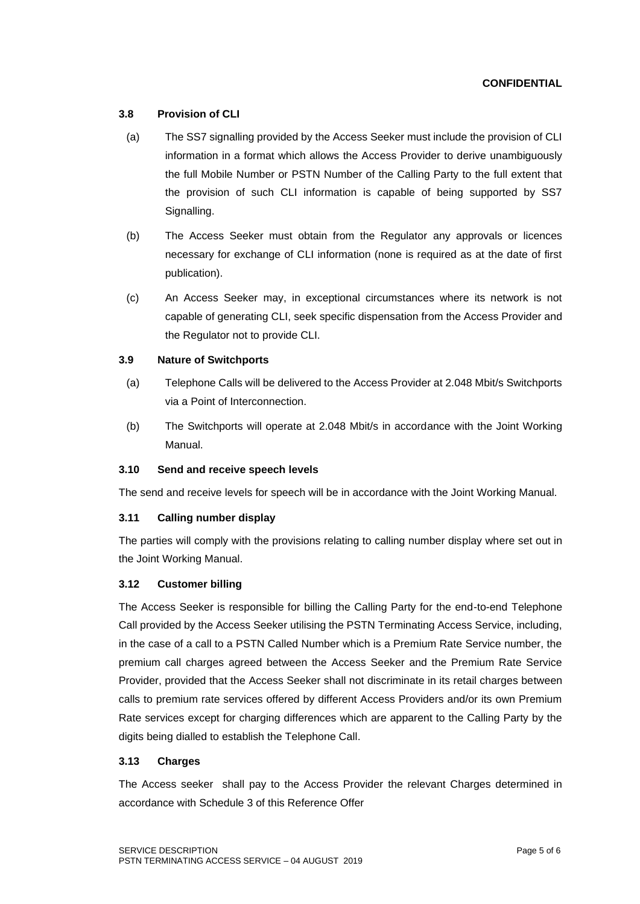### **CONFIDENTIAL**

### **3.8 Provision of CLI**

- (a) The SS7 signalling provided by the Access Seeker must include the provision of CLI information in a format which allows the Access Provider to derive unambiguously the full Mobile Number or PSTN Number of the Calling Party to the full extent that the provision of such CLI information is capable of being supported by SS7 Signalling.
- (b) The Access Seeker must obtain from the Regulator any approvals or licences necessary for exchange of CLI information (none is required as at the date of first publication).
- (c) An Access Seeker may, in exceptional circumstances where its network is not capable of generating CLI, seek specific dispensation from the Access Provider and the Regulator not to provide CLI.

### **3.9 Nature of Switchports**

- (a) Telephone Calls will be delivered to the Access Provider at 2.048 Mbit/s Switchports via a Point of Interconnection.
- (b) The Switchports will operate at 2.048 Mbit/s in accordance with the Joint Working Manual.

#### **3.10 Send and receive speech levels**

The send and receive levels for speech will be in accordance with the Joint Working Manual.

## **3.11 Calling number display**

The parties will comply with the provisions relating to calling number display where set out in the Joint Working Manual.

#### **3.12 Customer billing**

The Access Seeker is responsible for billing the Calling Party for the end-to-end Telephone Call provided by the Access Seeker utilising the PSTN Terminating Access Service, including, in the case of a call to a PSTN Called Number which is a Premium Rate Service number, the premium call charges agreed between the Access Seeker and the Premium Rate Service Provider, provided that the Access Seeker shall not discriminate in its retail charges between calls to premium rate services offered by different Access Providers and/or its own Premium Rate services except for charging differences which are apparent to the Calling Party by the digits being dialled to establish the Telephone Call.

#### **3.13 Charges**

The Access seeker shall pay to the Access Provider the relevant Charges determined in accordance with Schedule 3 of this Reference Offer